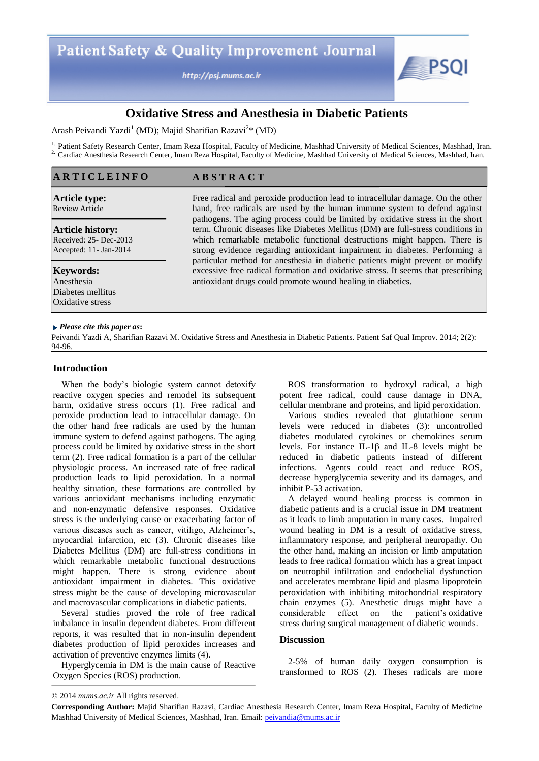http://psj.mums.ac.ir

**A B S T R A C T**



# **Oxidative Stress and Anesthesia in Diabetic Patients**

Arash Peivandi Yazdi<sup>1</sup> (MD); Majid Sharifian Razavi<sup>2</sup>\* (MD)

<sup>1.</sup> Patient Safety Research Center, Imam Reza Hospital, Faculty of Medicine, Mashhad University of Medical Sciences, Mashhad, Iran. <sup>2</sup> Cardiac Anesthesia Research Center, Imam Reza Hospital, Faculty of Medicine, Mashhad University of Medical Sciences, Mashhad, Iran.

#### **A R T I C L E I N F O**

#### **Article type:**  Review Article

**Article history:** 

Received: 25- Dec-2013 Accepted: 11- Jan-2014

**Keywords:**  Anesthesia Diabetes mellitus Oxidative stress

Free radical and peroxide production lead to intracellular damage. On the other hand, free radicals are used by the human immune system to defend against pathogens. The aging process could be limited by oxidative stress in the short term. Chronic diseases like Diabetes Mellitus (DM) are full-stress conditions in which remarkable metabolic functional destructions might happen. There is strong evidence regarding antioxidant impairment in diabetes. Performing a particular method for anesthesia in diabetic patients might prevent or modify excessive free radical formation and oxidative stress. It seems that prescribing antioxidant drugs could promote wound healing in diabetics.

#### *Please cite this paper as***:**

Peivandi Yazdi A, Sharifian Razavi M. Oxidative Stress and Anesthesia in Diabetic Patients. Patient Saf Qual Improv. 2014; 2(2): 94-96.

### **Introduction**

When the body's biologic system cannot detoxify reactive oxygen species and remodel its subsequent harm, oxidative stress occurs (1). Free radical and peroxide production lead to intracellular damage. On the other hand free radicals are used by the human immune system to defend against pathogens. The aging process could be limited by oxidative stress in the short term (2). Free radical formation is a part of the cellular physiologic process. An increased rate of free radical production leads to lipid peroxidation. In a normal healthy situation, these formations are controlled by various antioxidant mechanisms including enzymatic and non-enzymatic defensive responses. Oxidative stress is the underlying cause or exacerbating factor of various diseases such as cancer, vitiligo, Alzheimer's, myocardial infarction, etc (3). Chronic diseases like Diabetes Mellitus (DM) are full-stress conditions in which remarkable metabolic functional destructions might happen. There is strong evidence about antioxidant impairment in diabetes. This oxidative stress might be the cause of developing microvascular and macrovascular complications in diabetic patients.

Several studies proved the role of free radical imbalance in insulin dependent diabetes. From different reports, it was resulted that in non-insulin dependent diabetes production of lipid peroxides increases and activation of preventive enzymes limits (4).

Hyperglycemia in DM is the main cause of Reactive Oxygen Species (ROS) production.

ROS transformation to hydroxyl radical, a high potent free radical, could cause damage in DNA, cellular membrane and proteins, and lipid peroxidation.

Various studies revealed that glutathione serum levels were reduced in diabetes (3): uncontrolled diabetes modulated cytokines or chemokines serum levels. For instance IL-1β and IL-8 levels might be reduced in diabetic patients instead of different infections. Agents could react and reduce ROS, decrease hyperglycemia severity and its damages, and inhibit P-53 activation.

A delayed wound healing process is common in diabetic patients and is a crucial issue in DM treatment as it leads to limb amputation in many cases. Impaired wound healing in DM is a result of oxidative stress, inflammatory response, and peripheral neuropathy. On the other hand, making an incision or limb amputation leads to free radical formation which has a great impact on neutrophil infiltration and endothelial dysfunction and accelerates membrane lipid and plasma lipoprotein peroxidation with inhibiting mitochondrial respiratory chain enzymes (5). Anesthetic drugs might have a considerable effect on the patient's oxidative stress during surgical management of diabetic wounds.

#### **Discussion**

2-5% of human daily oxygen consumption is transformed to ROS (2). Theses radicals are more

<sup>© 2014</sup> *mums.ac.ir* All rights reserved.

**Corresponding Author:** Majid Sharifian Razavi, Cardiac Anesthesia Research Center, Imam Reza Hospital, Faculty of Medicine Mashhad University of Medical Sciences, Mashhad, Iran. Email: peivandia@mums.ac.ir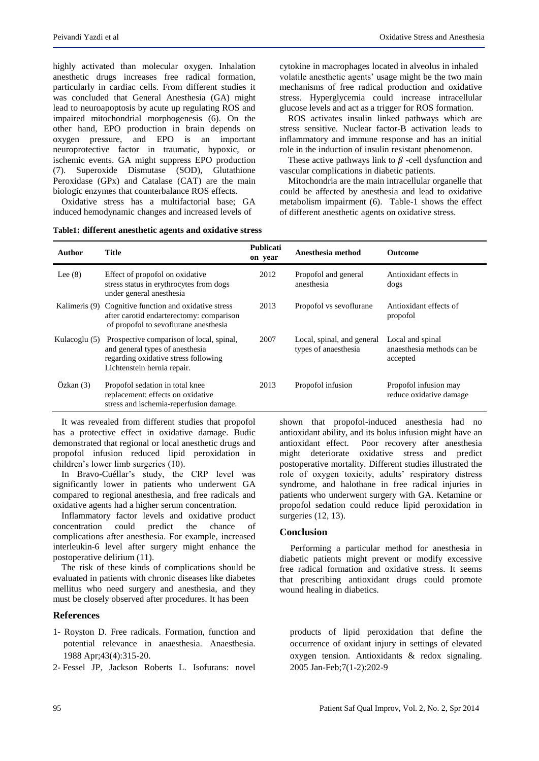highly activated than molecular oxygen. Inhalation anesthetic drugs increases free radical formation, particularly in cardiac cells. From different studies it was concluded that General Anesthesia (GA) might lead to neuroapoptosis by acute up regulating ROS and impaired mitochondrial morphogenesis (6). On the other hand, EPO production in brain depends on oxygen pressure, and EPO is an important neuroprotective factor in traumatic, hypoxic, or ischemic events. GA might suppress EPO production (7). Superoxide Dismutase (SOD), Glutathione Peroxidase (GPx) and Catalase (CAT) are the main biologic enzymes that counterbalance ROS effects.

Oxidative stress has a multifactorial base; GA induced hemodynamic changes and increased levels of

**Table1: different anesthetic agents and oxidative stress**

cytokine in macrophages located in alveolus in inhaled volatile anesthetic agents' usage might be the two main mechanisms of free radical production and oxidative stress. Hyperglycemia could increase intracellular glucose levels and act as a trigger for ROS formation.

ROS activates insulin linked pathways which are stress sensitive. Nuclear factor-B activation leads to inflammatory and immune response and has an initial role in the induction of insulin resistant phenomenon.

These active pathways link to  $\beta$  -cell dysfunction and vascular complications in diabetic patients.

Mitochondria are the main intracellular organelle that could be affected by anesthesia and lead to oxidative metabolism impairment (6). Table-1 shows the effect of different anesthetic agents on oxidative stress.

| Author        | Title                                                                                                                                              | <b>Publicati</b><br>on year | Anesthesia method                                  | <b>Outcome</b>                                             |
|---------------|----------------------------------------------------------------------------------------------------------------------------------------------------|-----------------------------|----------------------------------------------------|------------------------------------------------------------|
| Lee $(8)$     | Effect of propofol on oxidative<br>stress status in erythrocytes from dogs<br>under general anesthesia                                             | 2012                        | Propofol and general<br>anesthesia                 | Antioxidant effects in<br>dogs                             |
| Kalimeris (9) | Cognitive function and oxidative stress<br>after carotid endarterectomy: comparison<br>of propofol to sevoflurane anesthesia                       | 2013                        | Propofol vs sevoflurane                            | Antioxidant effects of<br>propofol                         |
| Kulacoglu (5) | Prospective comparison of local, spinal,<br>and general types of anesthesia<br>regarding oxidative stress following<br>Lichtenstein hernia repair. | 2007                        | Local, spinal, and general<br>types of anaesthesia | Local and spinal<br>anaesthesia methods can be<br>accepted |
| Ozkan(3)      | Propofol sedation in total knee<br>replacement: effects on oxidative<br>stress and ischemia-reperfusion damage.                                    | 2013                        | Propofol infusion                                  | Propofol infusion may<br>reduce oxidative damage           |

It was revealed from different studies that propofol has a protective effect in oxidative damage. Budic demonstrated that regional or local anesthetic drugs and

propofol infusion reduced lipid peroxidation in children's lower limb surgeries (10).

In [Bravo-Cuéllar'](http://www.ncbi.nlm.nih.gov/pubmed?term=Bravo-Cu%C3%A9llar%20A%5BAuthor%5D&cauthor=true&cauthor_uid=17511905)s study, the CRP level was significantly lower in patients who underwent GA compared to regional anesthesia, and free radicals and oxidative agents had a higher serum concentration.

Inflammatory factor levels and oxidative product concentration could predict the chance of complications after anesthesia. For example, increased interleukin-6 level after surgery might enhance the postoperative delirium (11).

The risk of these kinds of complications should be evaluated in patients with chronic diseases like diabetes mellitus who need surgery and anesthesia, and they must be closely observed after procedures. It has been

# **References**

- 1- Royston D. Free radicals. Formation, function and potential relevance in anaesthesia. Anaesthesia. 1988 Apr;43(4):315-20.
- 2- Fessel JP, Jackson Roberts L. Isofurans: novel

shown that propofol-induced anesthesia had no antioxidant ability, and its bolus infusion might have an antioxidant effect. Poor recovery after anesthesia might deteriorate oxidative stress and predict postoperative mortality. Different studies illustrated the role of oxygen toxicity, adults' respiratory distress syndrome, and halothane in free radical injuries in patients who underwent surgery with GA. Ketamine or propofol sedation could reduce lipid peroxidation in surgeries (12, 13).

# **Conclusion**

Performing a particular method for anesthesia in diabetic patients might prevent or modify excessive free radical formation and oxidative stress. It seems that prescribing antioxidant drugs could promote wound healing in diabetics.

products of lipid peroxidation that define the occurrence of oxidant injury in settings of elevated oxygen tension. Antioxidants & redox signaling. 2005 Jan-Feb;7(1-2):202-9